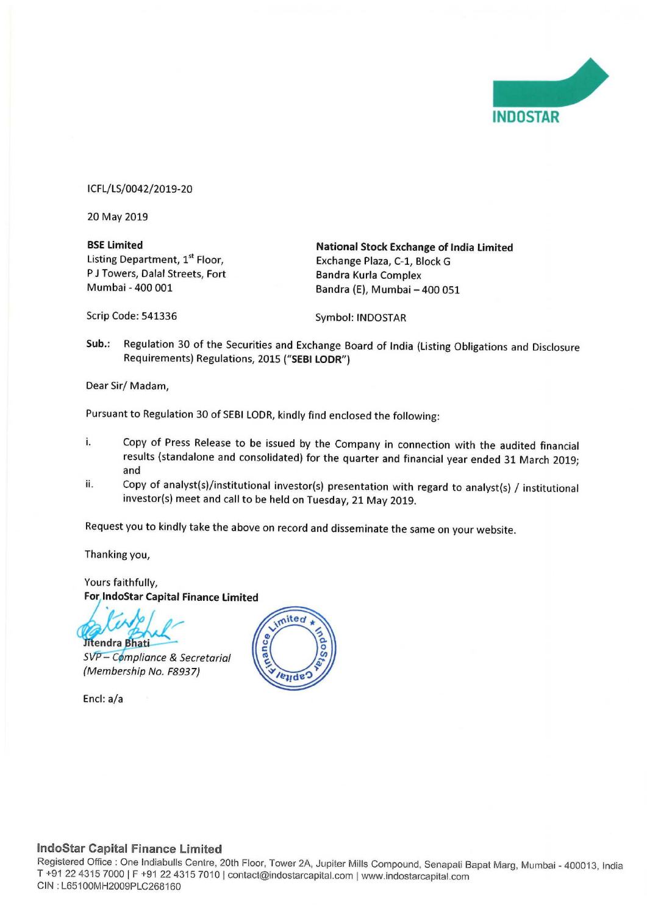

ICFL/LS/0042/2019-20

20 May 2019

P J Towers, Dalal Streets, Fort<br>Mumbai - 400 001

**BSE Limited Constrained Constrainer Stock Exchange of India Limited Listing Department, 1st Floor, Constrainer** Exchange Plaza. C-1. Block G Exchange Plaza, C-1, Block G<br>Bandra Kurla Complex Bandra (E), Mumbai - 400 051

Scrip Code: 541336 Symbol: INDOSTAR

Sub.: Regulation <sup>30</sup> of the Securities and Exchange Board of India (Listing Obligations and Disclosure Requirements) Regulations, 2015 ("SEBI LODR")

Dear Sir/ Madam,

Pursuant to Regulation <sup>30</sup> of SEBI LODR, kindly find enclosed the following:

- i. Copy of Press Release to be issued by the Company in connection with the audited financial results (standalone and consolidated) for the quarter and financial year ended <sup>31</sup> March 2019; and
- ii. Copy of analyst(s)/institutional investor(s) presentation with regard to analyst(s) / institutional investor(s) meet and call to be held on Tuesday, <sup>21</sup> May 2019.

Request you to kindly take the above on record and disseminate the same on your website.

Thanking you,

Yours faithfully, For lndoStar Capital Finance Limited

Jitendra Bhati

– C**o**mpliance & Secretarial (Membership No. F8937)

Encl: a/a



### IndoStar Capital Finance Limited

Registered Office : One Indiabulls Centre, 20th Floor, Tower 2A, Jupiter Mills Compound, Senapati Bapat Marg, Mumbai - 400013, India<br>T. 194.22.4345.7228.LE : 04.29.4345.7343.L T +91 22 4315 7000 | F +91 22 4315 7010 | contact@indostarcapital.com | www.indostarcapital.com CIN : L65100MH2009PLC268160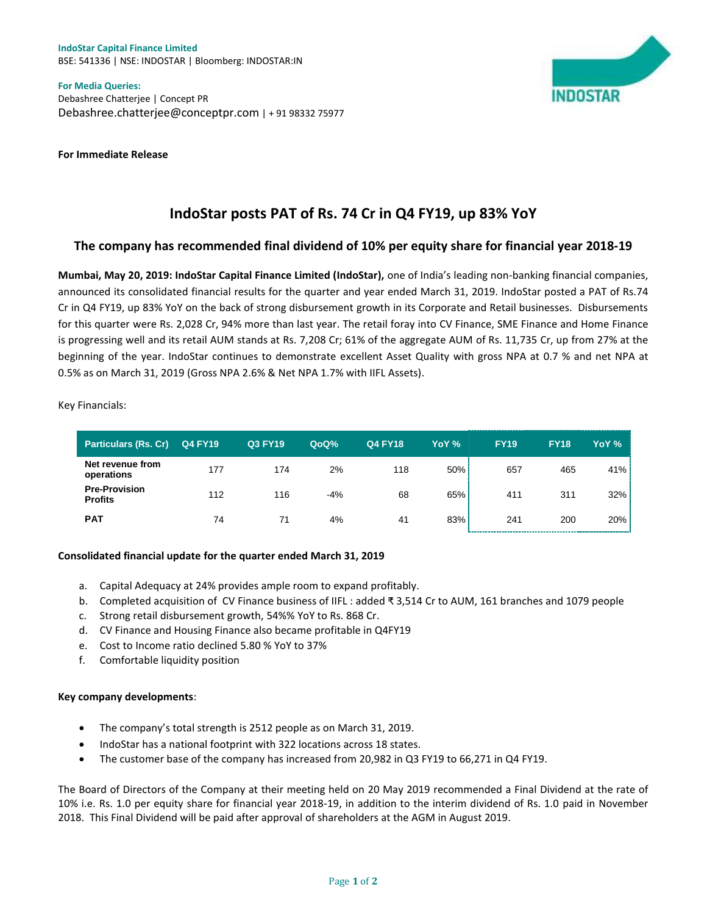**IndoStar Capital Finance Limited** BSE: 541336 | NSE: INDOSTAR | Bloomberg: INDOSTAR:IN

**For Media Queries:** Debashree Chatterjee | Concept PR Debashree.chatterjee@conceptpr.com | + 91 98332 75977





# **IndoStar posts PAT of Rs. 74 Cr in Q4 FY19, up 83% YoY**

## **The company has recommended final dividend of 10% per equity share for financial year 2018-19**

**Mumbai, May 20, 2019: IndoStar Capital Finance Limited (IndoStar),** one of India's leading non-banking financial companies, announced its consolidated financial results for the quarter and year ended March 31, 2019. IndoStar posted a PAT of Rs.74 Cr in Q4 FY19, up 83% YoY on the back of strong disbursement growth in its Corporate and Retail businesses. Disbursements for this quarter were Rs. 2,028 Cr, 94% more than last year. The retail foray into CV Finance, SME Finance and Home Finance is progressing well and its retail AUM stands at Rs. 7,208 Cr; 61% of the aggregate AUM of Rs. 11,735 Cr, up from 27% at the beginning of the year. IndoStar continues to demonstrate excellent Asset Quality with gross NPA at 0.7 % and net NPA at 0.5% as on March 31, 2019 (Gross NPA 2.6% & Net NPA 1.7% with IIFL Assets).

Key Financials:

| <b>Particulars (Rs. Cr)</b>            | <b>Q4 FY19</b> | <b>Q3 FY19</b> | QoQ%  | <b>Q4 FY18</b> | YoY % | <b>FY19</b> | <b>FY18</b> | YoY % |
|----------------------------------------|----------------|----------------|-------|----------------|-------|-------------|-------------|-------|
| Net revenue from<br>operations         | 177            | 174            | 2%    | 118            | 50%   | 657         | 465         | 41%   |
| <b>Pre-Provision</b><br><b>Profits</b> | 112            | 116            | $-4%$ | 68             | 65%   | 411         | 311         | 32%   |
| <b>PAT</b>                             | 74             | 71             | 4%    | 41             | 83%   | 241         | 200         | 20%   |

#### **Consolidated financial update for the quarter ended March 31, 2019**

- a. Capital Adequacy at 24% provides ample room to expand profitably.
- b. Completed acquisition of CV Finance business of IIFL : added ₹ 3,514 Cr to AUM, 161 branches and 1079 people
- c. Strong retail disbursement growth, 54%% YoY to Rs. 868 Cr.
- d. CV Finance and Housing Finance also became profitable in Q4FY19
- e. Cost to Income ratio declined 5.80 % YoY to 37%
- f. Comfortable liquidity position

#### **Key company developments**:

- The company's total strength is 2512 people as on March 31, 2019.
- IndoStar has a national footprint with 322 locations across 18 states.
- The customer base of the company has increased from 20,982 in Q3 FY19 to 66,271 in Q4 FY19.

The Board of Directors of the Company at their meeting held on 20 May 2019 recommended a Final Dividend at the rate of 10% i.e. Rs. 1.0 per equity share for financial year 2018-19, in addition to the interim dividend of Rs. 1.0 paid in November 2018. This Final Dividend will be paid after approval of shareholders at the AGM in August 2019.